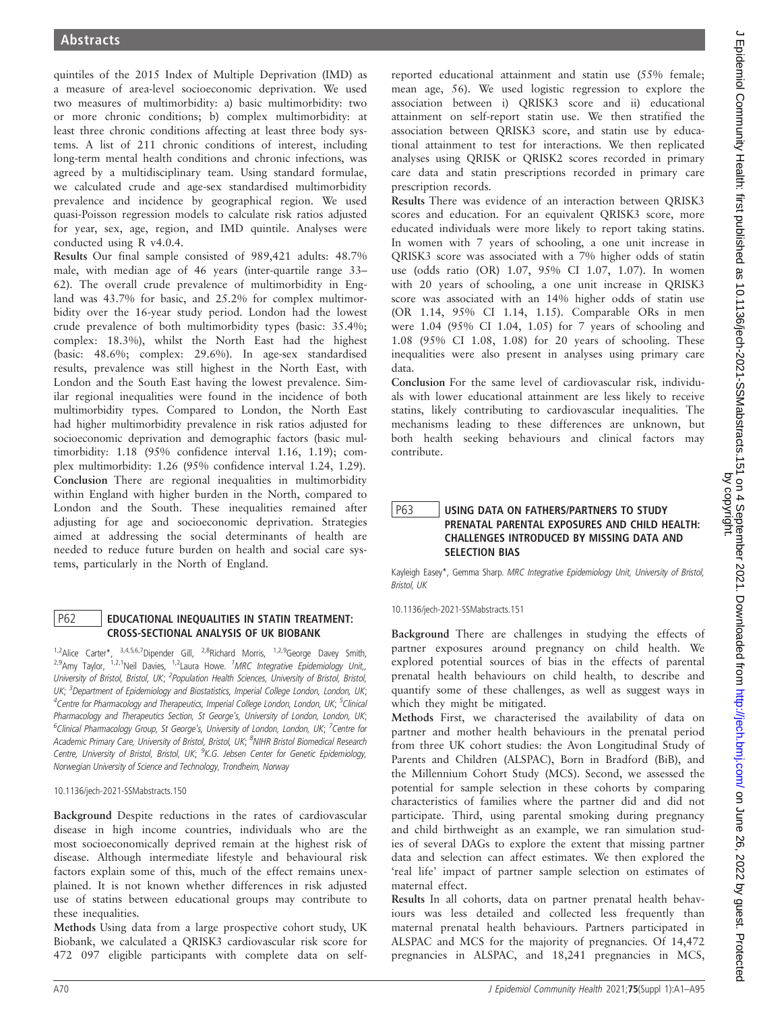quintiles of the 2015 Index of Multiple Deprivation (IMD) as a measure of area-level socioeconomic deprivation. We used two measures of multimorbidity: a) basic multimorbidity: two or more chronic conditions; b) complex multimorbidity: at least three chronic conditions affecting at least three body systems. A list of 211 chronic conditions of interest, including long-term mental health conditions and chronic infections, was agreed by a multidisciplinary team. Using standard formulae, we calculated crude and age-sex standardised multimorbidity prevalence and incidence by geographical region. We used quasi-Poisson regression models to calculate risk ratios adjusted for year, sex, age, region, and IMD quintile. Analyses were conducted using R v4.0.4.

Results Our final sample consisted of 989,421 adults: 48.7% male, with median age of 46 years (inter-quartile range 33– 62). The overall crude prevalence of multimorbidity in England was 43.7% for basic, and 25.2% for complex multimorbidity over the 16-year study period. London had the lowest crude prevalence of both multimorbidity types (basic: 35.4%; complex: 18.3%), whilst the North East had the highest (basic: 48.6%; complex: 29.6%). In age-sex standardised results, prevalence was still highest in the North East, with London and the South East having the lowest prevalence. Similar regional inequalities were found in the incidence of both multimorbidity types. Compared to London, the North East had higher multimorbidity prevalence in risk ratios adjusted for socioeconomic deprivation and demographic factors (basic multimorbidity: 1.18 (95% confidence interval 1.16, 1.19); complex multimorbidity: 1.26 (95% confidence interval 1.24, 1.29). Conclusion There are regional inequalities in multimorbidity within England with higher burden in the North, compared to London and the South. These inequalities remained after adjusting for age and socioeconomic deprivation. Strategies aimed at addressing the social determinants of health are needed to reduce future burden on health and social care systems, particularly in the North of England.

## P62 | EDUCATIONAL INEQUALITIES IN STATIN TREATMENT: CROSS-SECTIONAL ANALYSIS OF UK BIOBANK

1,2Alice Carter\*, 3,4,5,6,7Dipender Gill, <sup>2,8</sup>Richard Morris, <sup>1,2,9</sup>George Davey Smith, <sup>2,9</sup>Amy Taylor, <sup>1,2,1</sup>Neil Davies, <sup>1,2</sup>Laura Howe. <sup>1</sup>MRC Integrative Epidemiology Unit,, University of Bristol, Bristol, UK; <sup>2</sup>Population Health Sciences, University of Bristol, Bristol, UK; <sup>3</sup>Department of Epidemiology and Biostatistics, Imperial College London, London, UK; <sup>4</sup>Centre for Pharmacology and Therapeutics, Imperial College London, London, UK; <sup>5</sup>Clinical Pharmacology and Therapeutics Section, St George's, University of London, London, UK; <sup>6</sup>Clinical Pharmacology Group, St George's, University of London, London, UK; <sup>7</sup>Centre for Academic Primary Care, University of Bristol, Bristol, UK; <sup>8</sup>NIHR Bristol Biomedical Research Centre, University of Bristol, Bristol, UK; <sup>9</sup>K.G. Jebsen Center for Genetic Epidemiology, Norwegian University of Science and Technology, Trondheim, Norway

10.1136/jech-2021-SSMabstracts.150

Background Despite reductions in the rates of cardiovascular disease in high income countries, individuals who are the most socioeconomically deprived remain at the highest risk of disease. Although intermediate lifestyle and behavioural risk factors explain some of this, much of the effect remains unexplained. It is not known whether differences in risk adjusted use of statins between educational groups may contribute to these inequalities.

Methods Using data from a large prospective cohort study, UK Biobank, we calculated a QRISK3 cardiovascular risk score for 472 097 eligible participants with complete data on selfreported educational attainment and statin use (55% female; mean age, 56). We used logistic regression to explore the association between i) QRISK3 score and ii) educational attainment on self-report statin use. We then stratified the association between QRISK3 score, and statin use by educational attainment to test for interactions. We then replicated analyses using QRISK or QRISK2 scores recorded in primary care data and statin prescriptions recorded in primary care prescription records.

Results There was evidence of an interaction between QRISK3 scores and education. For an equivalent QRISK3 score, more educated individuals were more likely to report taking statins. In women with 7 years of schooling, a one unit increase in QRISK3 score was associated with a 7% higher odds of statin use (odds ratio (OR) 1.07, 95% CI 1.07, 1.07). In women with 20 years of schooling, a one unit increase in QRISK3 score was associated with an 14% higher odds of statin use (OR 1.14, 95% CI 1.14, 1.15). Comparable ORs in men were 1.04 (95% CI 1.04, 1.05) for 7 years of schooling and 1.08 (95% CI 1.08, 1.08) for 20 years of schooling. These inequalities were also present in analyses using primary care data.

Conclusion For the same level of cardiovascular risk, individuals with lower educational attainment are less likely to receive statins, likely contributing to cardiovascular inequalities. The mechanisms leading to these differences are unknown, but both health seeking behaviours and clinical factors may contribute.

# P63 USING DATA ON FATHERS/PARTNERS TO STUDY PRENATAL PARENTAL EXPOSURES AND CHILD HEALTH: CHALLENGES INTRODUCED BY MISSING DATA AND SELECTION BIAS

Kayleigh Easey\*, Gemma Sharp. MRC Integrative Epidemiology Unit, University of Bristol, Bristol, UK

10.1136/jech-2021-SSMabstracts.151

Background There are challenges in studying the effects of partner exposures around pregnancy on child health. We explored potential sources of bias in the effects of parental prenatal health behaviours on child health, to describe and quantify some of these challenges, as well as suggest ways in which they might be mitigated.

Methods First, we characterised the availability of data on partner and mother health behaviours in the prenatal period from three UK cohort studies: the Avon Longitudinal Study of Parents and Children (ALSPAC), Born in Bradford (BiB), and the Millennium Cohort Study (MCS). Second, we assessed the potential for sample selection in these cohorts by comparing characteristics of families where the partner did and did not participate. Third, using parental smoking during pregnancy and child birthweight as an example, we ran simulation studies of several DAGs to explore the extent that missing partner data and selection can affect estimates. We then explored the 'real life' impact of partner sample selection on estimates of maternal effect.

Results In all cohorts, data on partner prenatal health behaviours was less detailed and collected less frequently than maternal prenatal health behaviours. Partners participated in ALSPAC and MCS for the majority of pregnancies. Of 14,472 pregnancies in ALSPAC, and 18,241 pregnancies in MCS,